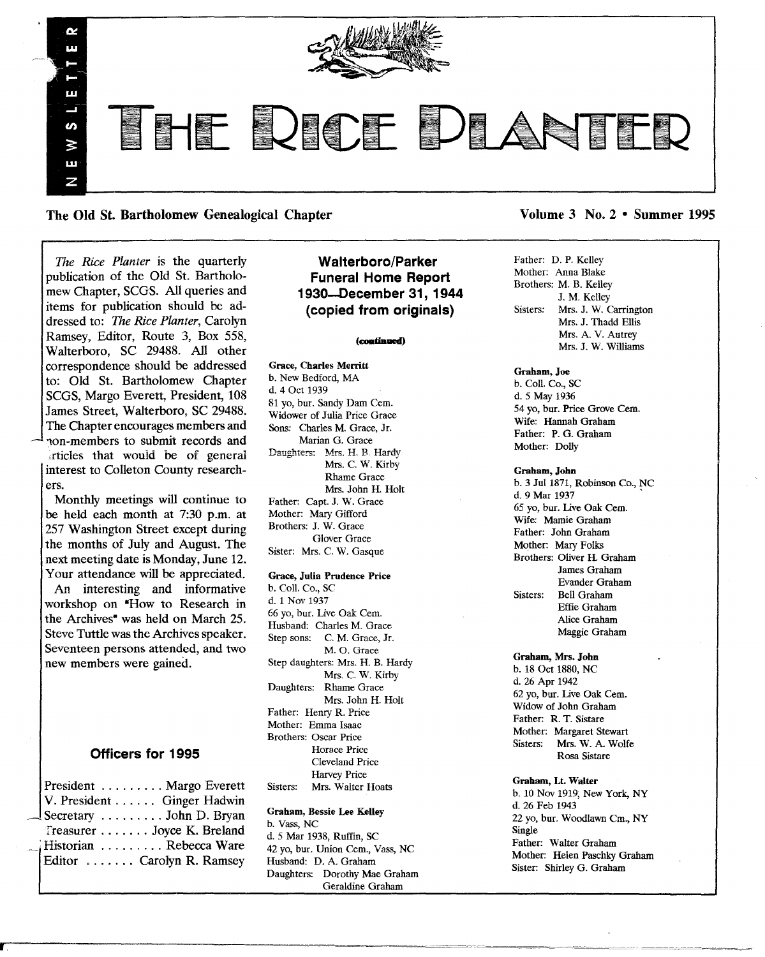

The Old St. Bartholomew Genealogical Chapter Volume 3 No. 2 • Summer 1995

*The Rice Planter* is the quarterly publication of the Old St. Bartholomew Chapter, SCGS. All queries and items for publication should be addressed to: *The Rice Planter,* Carolyn Ramsey, Editor, Route 3, Box 558, Walterboro, SC 29488. All other correspondence should be addressed to: Old St. Bartholomew Chapter SCGS, Margo Everett, President, 108 James Street, Walterboro, SC 29488. The Chapter encourages members and 'lon-members to submit records and articles that would be of general interest to Colleton County researchers.

Monthly meetings will continue to be held each month at 7:30 p.m. at 257 Washington Street except during the months of July and August. The next meeting date is Monday, June 12. Your attendance will be appreciated.

An interesting and informative workshop on "How to Research in the Archives<sup>\*</sup> was held on March 25. Steve Tuttle was the Archives speaker. Seventeen persons attended, and two new members were gained.

### **Officers for 1995**

|  | President Margo Everett         |
|--|---------------------------------|
|  | V. President Ginger Hadwin      |
|  | $\Box$ Secretary  John D. Bryan |
|  | Treasurer Joyce K. Breland      |
|  | Historian Rebecca Ware          |
|  | Editor  Carolyn R. Ramsey       |
|  |                                 |

rr-.-----------~----~-----=~=~-~~-~

### **Walterboro/Parker Funeral Home Report 193O-December 31, 1944 (copied from originals)**

#### (continued)

Grace, Charles Merritt b. New Bedford, MA d. 4 Oct 1939 81 yo, bur. Sandy Dam Cern. Widower of Julia Price Grace Sons: Charles M. Grace, Jr. Marian G. Grace Daughters: Mrs. H. B. Hardy Mrs. C. W. Kirby Rhame Grace Mrs. John H. Holt Father: Capt. J. W. Grace Mother: Mary Gifford Brothers: J. W. Grace Glover Grace Sister: Mrs. C. W. Gasque

#### Grace, Julia Prudence Price

b. Coli. Co., SC d. 1 Nov 1937 66 yo, bur. Live Oak Cern. Husband: Charles M. Grace Step sons: C. M. Grace, Jr. M. O. Grace Step daughters: Mrs. H. B. Hardy Mrs. C. W. Kirby Daughters: Rhame Grace Mrs. John H. Holt Father: Henry R. Price Mother: Emma Isaac Brothers: Oscar Price Horace Price Cleveland Price Harvey Price Sisters: Mrs. Walter Hoats

#### Graham, Bessie Lee Kelley

b. Vass, NC d. 5 Mar 1938, Ruffin, SC 42 yo, bur. Union Cem., Vass, NC Husband: D. A. Graham Daughters: Dorothy Mae Graham Geraldine Graham

Father: D. P. Kelley Mother: Anna Blake Brothers: M. B. Kelley J. M. Kelley Sisters: Mrs. J. W. Carrington Mrs. J. Thadd Ellis Mrs. A. V. Autrey Mrs. J. W. Williams

#### Graham, Joe

b. Coll. Co., SC d. 5 May 1936 54 yo, bur. Price Grove Cern. Wife: Hannah Graham Father: P. G. Graham Mother: Dolly

#### Graham, John

b. 3 Jul 1871, Robinson Co., NC d. 9 Mar 1937 65 yo, bur. live Oak Cern. Wife: Mamie Graham Father: John Graham Mother: Mary Folks Brothers: Oliver H. Graham James Graham Evander Graham Sisters: Bell Graham Effie Graham Alice Graham Maggie Graham

Graham, Mrs. John b. 18 Oct 1880, NC d. 26 Apr 1942 62 yo, bur. Live Oak Cern. Widow of John Graham Father: R. T. Sistare Mother: Margaret Stewart<br>Sisters: Mrs. W. A. Wolf Mrs. W. A. Wolfe Rosa Sistare

Graham, Lt. Walter b. 10 Nov 1919, New York, NY d. 26 Feb 1943 22 yo, bur. Woodlawn Cm., NY Single Father: Walter Graham Mother: Helen Paschky Graham Sister: Shirley G. Graham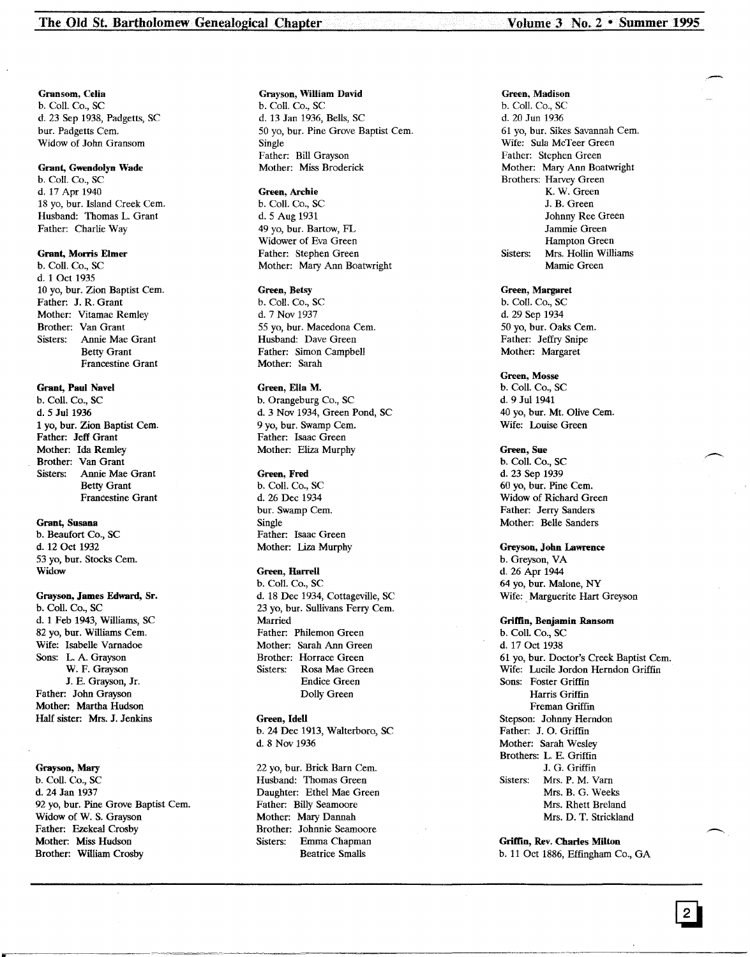Gransom, Celia b. Call. Co., sc d. 23 Sep 1938, Padgetts, SC bur. Padgetts Cem. Widow of John Gransom

#### Grant, Gwendolyn Wade

b. Call. Co., SC d. 17 Apr 1940 18 yo, bur. Island Creek Cem. Husband: Thomas L. Grant Father: Charlie Way

#### Grant, Morris Elmer

b. CoIl. Co., SC d. 1 Oct 1935 10 yo, bur. Zion Baptist Cem. Father: J. R. Grant Mother: Vitamae Remley Brother: Van Grant Sisters: Annie Mae Grant Betty Grant Francestine Grant

Grant, Paul Navel

b. Call. Co., SC d. 5 Jul 1936 1 yo, bur. Zion Baptist Cern. Father: Jeff Grant Mother: Ida Remley Brother: Van Grant Sisters: Annie Mae Grant Betty Grant Francestine Grant

#### Grant, Susana

b. Beaufort Co., SC d. 12 Oct 1932 53 yo, bur. Stocks Cern. Widow

#### Grayson, James Edward, Sr.

b. CoIl. Co., SC d. 1 Feb 1943, Williams, SC 82 yo, bur. Williams Cem. Wife: Isabelle Varnadoe Sons: L. A. Grayson W. F. Grayson J. E. Grayson, Jr. Father: John Grayson Mother: Martha Hudson Half sister: Mrs. J. Jenkins

Grayson, Mary b. CoIl. Co., SC d. 24 Jan 1937 92 yo, bur. Pine Grove Baptist Cem. Widow of W. S. Grayson Father: Ezekeal Crosby Mother: Miss Hudson Brother: William Crosby

#### Grayson, William David

b. CoIl. Co., SC d. 13 Jan 1936, Bells, SC 50 yo, bur. Pine Grove Baptist Cem. Single Father: Bill Grayson Mother: Miss Broderick

#### Green, Archie

b. Call. Co., SC d. 5 Aug 1931 49 yo, bur. Bartow, FL Widower of Eva Green Father: Stephen Green Mother: Mary Ann Boatwright

#### Green, Betsy

b. CoIl. Co., SC d. 7 Nov 1937 55 yo, bur. Macedona Cem. Husband: Dave Green Father: Simon Campbell Mother: Sarah

#### Green, Ella M.

b. Orangeburg Co., SC d. 3 Nov 1934, Green Pond, SC 9 vo. bur. Swamp Cem. Father: Isaac Green Mother: Eliza Murphy

#### Green, Fred

b. CoIl. Co., SC d. 26 Dec 1934 bur. Swamp Cem. Single Father: Isaac Green Mother: Liza Murphy

#### Green, Harrell

b. Call. Co., SC d. 18 Dec 1934, Cottageville, SC 23 yo, bur. Sullivans Ferry Cern. Married Father: Philemon Green Mother: Sarah Ann Green Brother: Horrace Green Sisters: Rosa Mae Green Endice Green Dolly Green

### Green, Idell

b. 24 Dec 1913, Walterboro, SC d. 8 Nov 1936

22 yo, bur. Brick Barn Cem. Husband: Thomas Green Daughter: Ethel Mae Green Father: Billy Seamoore Mother: Mary Dannah Brother: Johnnie Seamoore Sisters: Emma Chapman Beatrice Smalls

#### Green, Madison

b. Call. Co., SC d. 20 Jun 1936 61 yo, bur. Sikes Savannah Cern. Wife: Sula McTeer Green Father: Stephen Green Mother: Mary Ann Boatwright Brothers: Harvey Green K. W. Green J. B. Green Johnny Ree Green Jamrnie Green Hampton Green Sisters: Mrs. Hollin Williams Mamie Green

#### Green, Margaret

b. CoIl. Co., SC d. 29 Sep 1934 50 yo, bur. Oaks Cern. Father: Jeffry Snipe Mother: Margaret

#### Green, Mosse

b. Call. Co., SC d. 9 Jul 1941 40 yo, bur. Mt. Olive Cem. Wife: Louise Green

#### Green, Sue

b. Coil. Co., SC d. 23 Sep 1939 60 yo, bur. Pine Cem. Widow of Richard Green Father: Jerry Sanders Mother: Belle Sanders

#### Greyson, John Lawrence

b. Greyson, VA d. 26 Apr 1944 64 yo, bur. Malone, NY Wife: Marguerite Hart Greyson

### Griffin, Benjamin Ransom

b. CoIl. Co., SC d. 17 Oct 1938 61 yo, bur. Doctor's Creek Baptist Cern. Wife: Lucile Jordon Herndon Griffin Sons: Foster Griffin Harris Griffin Frernan Griffin Stepson: Johnny Herndon Father: J. O. Griffin Mother: Sarah Wesley Brothers: L. E. Griffin J. G. Griffin Sisters: Mrs. P. M. Varn Mrs. B. G. Weeks Mrs. Rhett Breland Mrs. D. T. Strickland

Griffin, Rev. Charles Milton b. 11 Oct 1886, Effingham Co., GA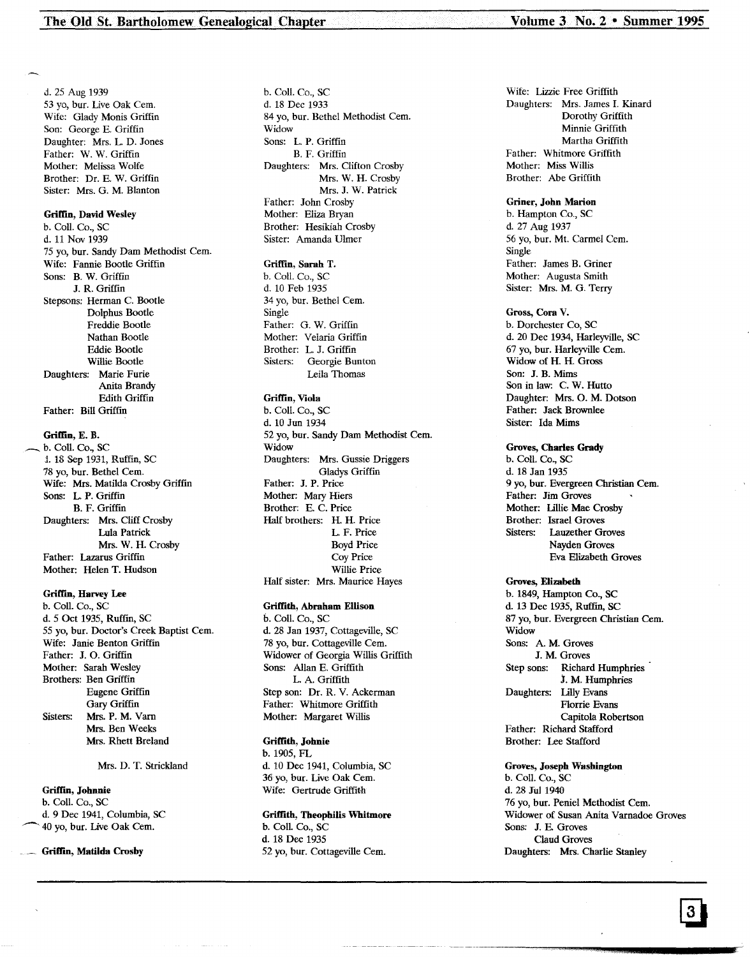d. 25 Aug 1939 53 yo, bur. Live Oak Cem. Wife: Glady Monis Griffin Son: George E. Griffin Daughter: Mrs. L. D. Jones Father: W. W. Griffin Mother: Melissa Wolfe Brother: Dr. E. W. Griffin Sister: Mrs. G. M. Blanton

#### Griffin, David Wesley

b. Coli. Co., SC d. 11 Nov 1939 75 yo, bur. Sandy Dam Methodist Cern. Wife: Fannie Bootie Griffin Sons: B. W. Griffin J. R. Griffin Stepsons: Herman C. Bootie Dolphus Bootie Freddie Bootie Nathan Bootie Eddie Bootie Willie Bootie Daughters: Marie Furie Anita Brandy Edith Griffin Father: Bill Griffin

# Griffin, E. B.<br>b. Coll. Co., SC

1. 18 Sep 1931, Ruffin, SC. 78 yo, bur. Bethel Cern. Wife: Mrs. Matilda Crosby Griffin Sons: L. P. Griffin B. F. Griffin Daughters: Mrs. Cliff Crosby Lula Patrick Mrs. W. H. Crosby Father: Lazarus Griffin Mother: Helen T. Hudson

#### Griffin, Harvey Lee

b. ColI. Co., SC d. 5 Oct 1935, Ruffm, SC 55 yo, bur. Doctor's Creek Baptist Cern. Wife: Janie Benton Griffin Father: J. O. Griffin Mother: Sarah Wesley Brothers: Ben Griffin Eugene Griffin Gary Griffin Sisters: Mrs. P. M. Varn Mrs. Ben Weeks Mrs. Rhett Breland

Mrs. D. T. Strickland

#### Griffm, Johnnie

b. Coli. Co., SC d. 9 Dec 1941, Columbia, SC 40 yo, bur. Live Oak Cem.

..... Griffin, Matilda Crosby

b. ColI. Co., SC d. 18 Dec 1933 84 yo, bur. Bethel Methodist Cem. Widow Sons: L. P. Griffin B. F. Griffin Daughters: Mrs. Clifton Crosby Mrs. W. H. Crosby Mrs. J. W. Patrick Father: John Crosby Mother: Eliza Bryan Brother: Hesikiah Crosby Sister: Amanda Ulmer

#### Griffin, Sarah T.

b. ColI. Co., SC d. 10 Feb 1935 34 yo, bur. Bethel Cem. Single Father: G. W. Griffin Mother: Velaria Griffin Brother: L. J. Griffin Sisters: Georgie Bunton Leila Thomas

#### Griffin, Viola

b. ColI. Co., SC d. 10 Jun 1934 52 yo, bur. Sandy Dam Methodist Cern. Widow Daughters: Mrs. Gussie Driggers Gladys Griffin Father: J. P. Price Mother: Mary Hiers Brother: E. C. Price Half brothers: H. H. Price L. F. Price Boyd Price Coy Price Willie Price Half sister: Mrs. Maurice Hayes

#### Griffith, Abraham Ellison

6. Coli. Co., SC d. 28 Jan 1937, Cottageville, SC 78 yo, bur. Cottageville Cem. Widower of Georgia Willis Griffith Sons: Allan E. Griffith L. A. Griffith Step son: Dr. R. V. Ackerman Father: Whitmore Griffith Mother: Margaret Willis

#### Griffith, Johnie

b. 1905, FL d. 10 Dee 1941, Columbia, SC 36 yo, bur. Live Oak Cern. Wife: Gertrude Griffith

#### Griffith, Tbeophilis Whitmore

b. Coli. Co., SC d. 18 Dee 1935 52 yo, bur. Cottageville Cern. Wife: Lizzie Free Griffith Daughters: Mrs. James 1. Kinard Dorothy Griffith Minnie Griffith Martha Griffith Father: Whitmore Griffith Mother: Miss Willis Brother: Abe Griffith

#### Griner, John Marion

b. Hampton Co., SC d. 27 Aug 1937 56 yo, bur. Mt. Carmel Cem. Single Father: James B. Griner Mother: Augusta Smith Sister: Mrs. M. G. Terry

#### Gross, Cora V.

b. Dorchester Co, SC d. 20 Dec 1934, Harleyville, SC 67 yo, bur. Harleyville Cern. Widow of H. H. Gross Son: J. B. Mims Son in law: C. W. Hutto Daughter: Mrs. O. M. Dotson Father: Jack Brownlee Sister: Ida Mims

#### Groves, Charles Grady

b. Coli. Co., SC d. 18 Jan 1935 9 yo, bur. Evergreen Christian Cem. Father: Jim Groves Mother: Lillie Mae Crosby Brother: Israel Groves Sisters: Lauzether Groves Nayden Groves Eva Elizabeth Groves

#### Groves, Elizabeth

b. 1849, Hampton Co., SC d. 13 Dec 1935, Ruffin, SC 87 yo, bur. Evergreen Christian Cem. Widow Sons: A. M. Groves J. M. Groves Step sons: Richard Humphries J. M. Humphries Daughters: Lilly Evans Florrie Evans Capitola Robertson Father: Richard Stafford Brother: Lee Stafford

Groves, Joseph Washington b. Coli. Co., SC d. 28 Tul 1940 76 yo, bur. Peniel Methodist Cern. Widower of Susan Anita Varnadoe Groves Sons: J. E. Groves Claud Groves Daughters: Mrs. Charlie Stanley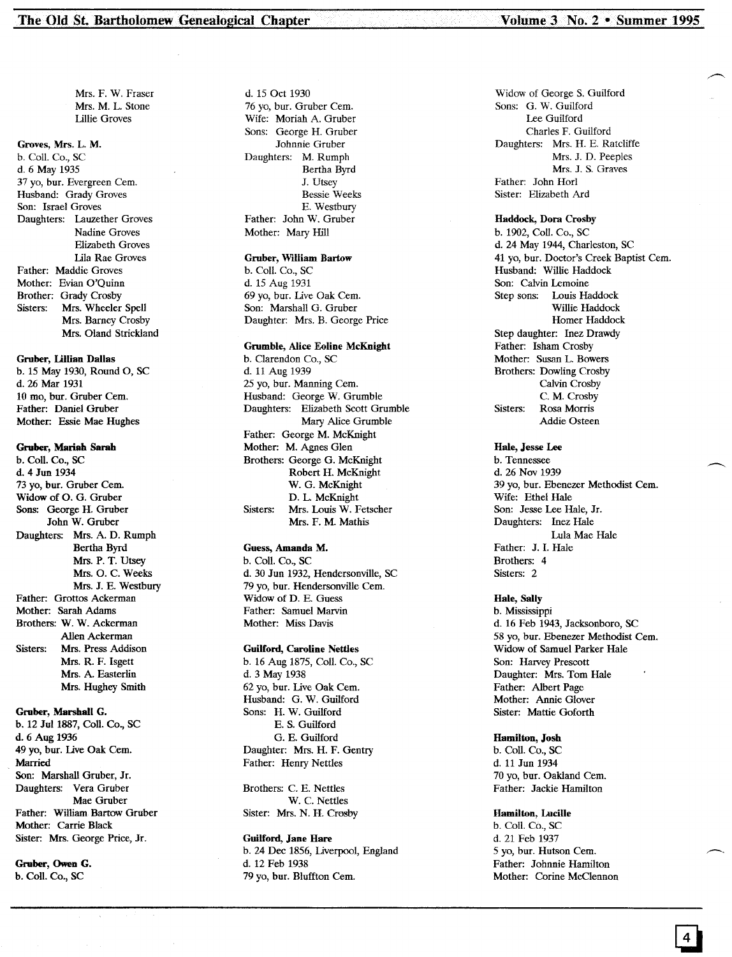Mrs. F. W. Fraser Mrs. M. L. Stone Lillie Groves

#### Groves, Mrs. L. M.

b. Coil. Co., SC d. 6 May 1935 37 yo, bur. Evergreen Cem. Husband: Grady Groves Son: Israel Groves Daughters: Lauzether Groves Nadine Groves Elizabeth Groves Lila Rae Groves Father: Maddie Groves Mother: Evian O'Quinn Brother: Grady Crosby Sisters: Mrs. Wheeler Spell Mrs. Barney Crosby Mrs. Oland Strickland

#### Gruber, Lillian Dallas

b. 15 May 1930, Round 0, SC d. 26 Mar 1931 10 mo. bur. Gruber Cem. Father: Daniel Gruber Mother: Essie Mae Hughes

#### Gruber, Mariah Sarah

b. Coli. Co., SC d. 4 Jun 1934 73 yo, bur. Gruber Cem. Widow of O. G. Gruber Sons: George H. Gruber John W. Gruber Daughters: Mrs. A. D. Rumph Bertha Byrd Mrs. P. T. Utsey Mrs. O. C. Weeks Mrs. J. E. Westbury Father: Grottos Ackerman Mother: Sarah Adams Brothers: W. W. Ackerman Allen Ackerman Sisters: Mrs. Press Addison Mrs. R. F. Isgett Mrs. A. Easterlin Mrs. Hughey Smith

#### Gruber, Marshall G.

b. 12 Jul 1887, CoIl. Co., SC d. 6Aug 1936 49 yo, bur. Live Oak Cem. Married Son: Marshall Gruber, Jr. Daughters: Vera Gruber Mae Gruber Father: William Bartow Gruber Mother: Carrie Black Sister: Mrs. George Price, Jr.

Gruber, Owen G. b. Coli. Co., SC

d. 15 Oct 1930 76 yo, bur. Gruber Cern. Wife: Moriah A. Gruber Sons: George H. Gruber Johnnie Gruber Daughters: M. Rumph Bertha Byrd J. Utsey Bessie Weeks E. Westbury Father: John W. Gruber Mother: Mary Hill

#### Gruber, William Bartow

b. Coli. Co., SC d. 15 Aug 1931 69 yo, bur. Live Oak Cem. Son: Marshall G. Gruber Daughter: Mrs. B. George Price

#### Grumble, Alice Eoline McKnight

b. Clarendon Co., SC d. 11 Aug 1939 25 yo, bur. Manning Cern. Husband: George W. Grumble Daughters: Elizabeth Scott Grumble Mary Alice Grumble Father: George M. McKnight Mother: M. Agnes Glen Brothers: George G. McKnight Robert H. McKnight W. G. McKnight D. L. McKnight Sisters: Mrs. Louis W. Fetscher Mrs. F. M. Mathis

#### Guess, Amanda M.

b. Coil. Co., SC d. 30 Jun 1932, Hendersonville, SC 79 yo, bur. Hendersonville Cern. Widow of D. E. Guess Father: Samuel Marvin Mother: Miss Davis

#### Guilford, Caroline Nettles

b. 16 Aug 1875, Coli. Co., SC d. 3 May 1938 62 yo, bur. Live Oak Cern. Husband: G. W. Guilford Sons: H. W. Guilford E. S. Guilford G. E. Guilford Daughter: Mrs. H. F. Gentry Father: Henry Nettles

Brothers: C. E. Nettles W. C. Nettles Sister: Mrs. N. H. Crosby

Guilford, Jane Hare b. 24 Dec 1856, Uverpool, England d. 12 Feb 1938 79 yo, bur. Bluffton Cern.

Widow of George S. Guilford Sons: G. W. Guilford Lee Guilford Charles F. Guilford Daughters: Mrs. H. E. Ratcliffe Mrs. J. D. Peeples Mrs. J. S. Graves Father: John Horl Sister: Elizabeth Ard

#### Haddock, Dora Crosby

b. 1902, Coli. Co., SC d. 24 May 1944, Charleston, SC 41 yo, bur. Doctor's Creek Baptist Cern. Husband: Willie Haddock Son: Calvin Lemoine Step sons: Louis Haddock Willie Haddock Homer Haddock Step daughter: Inez Drawdy Father: Isham Crosby Mother: Susan L. Bowers Brothers: Dowling Crosby Calvin Crosby C. M. Crosby Sisters: Rosa Morris Addie Osteen

#### Hale, Jesse Lee

b. Tennessee d. 26 Nov 1939 39 yo, bur. Ebenezer Methodist Cem. Wife: Ethel Hale Son: Jesse Lee Hale, Jr. Daughters: Inez Hale Lula Mae Hale Father: J. I. Hale Brothers: 4 Sisters: 2

#### Hale, Sally

b. Mississippi d. 16 Feb 1943, Jacksonboro, SC 58 yo, bur. Ebenezer Methodist Cem. Widow of Samuel Parker Hale Son: Harvey Prescott Daughter: Mrs. Tom Hale Father: Albert Page Mother: Annie Glover Sister: Mattie Goforth

#### Hamilton, Josh

b. CoIl. Co., SC d. 11 Jun 1934 70 yo, bur. Oakland Cern. Father: Jackie Hamilton

#### Hamilton, Lucille

b. Coli. Co., SC d. 21 Feb 1937 5 yo, bur. Hutson Cern. Father: Johnnie Hamilton Mother: Corine McClennon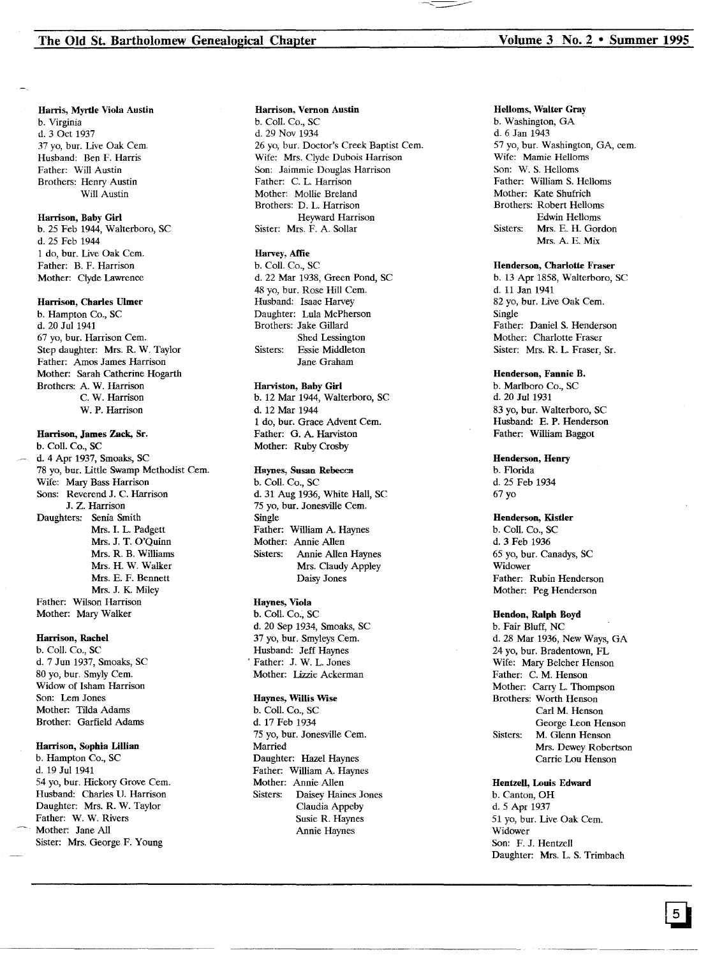#### Harris, Myrtle Viola Austin

b. Virginia d. 3 Oct 1937 37 yo, bur. Live Oak Cern. Husband: Ben F. Harris Father: Will Austin Brothers: Henry Austin Will Austin

#### Harrison, Baby Girl

b. 25 Feb 1944, Walterboro, SC d. 25 Feb 1944 1 do, bur. Live Oak Cern. Father: B. F. Harrison Mother: Clyde Lawrence

#### Harrison, Charles Ulmer

b. Hampton Co., SC d. 20 Jul 1941 67 yo, bur. Harrison Cern. Step daughter: Mrs. R. W. Taylor Father: Amos James Harrison Mother: Sarah Catherine Hogarth Brothers: A. W. Harrison C. W. Harrison W. P. Harrison

#### Harrison, James Zaek, Sr.

b. ColI. Co., SC d. 4 Apr 1937, Smoaks, SC 78 yo, bur. Little Swamp Methodist Cern. Wife: Mary Bass Harrison Sons: Reverend J. C. Harrison J. Z. Harrison Daughters: Senia Smith Mrs. I. L. Padgett Mrs. J. T. O'Quinn Mrs. R. B. Williams Mrs. H. W. Walker Mrs. E. F. Bennett Mrs. J. K. Miley Father: Wilson Harrison Mother: Mary Walker

#### Harrison, Rachel

b. Coll. Co., SC d. 7 Jun 1937, Smoaks, SC 80 yo, bur. Smyly Cem. Widow of Isham Harrison Son: Lem Jones Mother: Tilda Adams Brother: Garfield Adams

#### Harrison, Sophia Lillian

b. Hampton Co., SC d. 19 Jul 1941 54 yo, bur. Hickory Grove Cern. Husband: Charles U. Harrison Daughter: Mrs. R. W. Taylor Father: W. W. Rivers Mother: Jane All Sister: Mrs. George F. Young

#### Harrison, Vernon Austin

b. Call. Co., SC d. 29 Nov 1934 26 yo, bur. Doctor's Creek Baptist Cem. Wife: Mrs. Clyde Dubois Harrison Son: Jaimrnie Douglas Harrison Father: C. L. Harrison Mother: Mollie Breland Brothers: D. L. Harrison Heyward Harrison Sister: Mrs. F. A. Sollar

#### Harvey, Affie

b. Call. Co., SC d. 22 Mar 1938, Green Pond, SC 48 yo, bur. Rose Hill Cem. Husband: Isaac Harvey Daughter: Lula McPherson Brothers: Jake Gillard Shed Lessington Sisters: Essie Middleton Jane Graham

#### Harviston, Baby Girl

b. 12 Mar 1944, Walterboro, SC d. 12 Mar 1944 1 do, bur. Grace Advent Cem. Father: G. A Harviston Mother: Ruby Crosby

#### Haynes, Susan Rebecca

b. Coll. Co., SC d. 31 Aug 1936, White Hall, SC 75 yo, bur. Jonesville Cern. Single Father: William A. Haynes Mother: Annie Allen Sisters: Annie Allen Haynes Mrs. Claudy Appley Daisy Jones

#### Haynes, Viola

b. Coll. Co.; SC d. 20 Sep 1934, Smoaks, SC 37 yo, bur. Smyleys Cem. Husband: Jeff Haynes , Father: J. W. L. Jones Mother: Lizzie Ackerman

#### Haynes, Willis Wise

b. ColI. Co., SC d. 17 Feb 1934 75 yo, bur. Jonesville Cern. Married Daughter: Hazel Haynes Father: William A. Haynes Mother: Annie Allen Sisters: Daisey Haines Jones Claudia Appeby Susie R. Haynes Annie Haynes

#### Helloms, Walter Gray

b. Washington, GA d. 6 Jan 1943 57 yo, bur. Washington, GA, cern. Wife: Mamie Helloms Son: W. S. Helloms Father: William S. Helloms Mother: Kate Shufrich Brothers: Robert Hellorns Edwin Hellams Sisters: Mrs. E. H. Gordon Mrs. A. E. Mix

#### Henderson, Charlotte Fraser

b. 13 Apr 1858, Walterboro, SC d. 11 Jan 1941 82 yo, bur. Live Oak Cem. Single Father: Daniel S. Henderson Mother: Charlotte Fraser Sister: Mrs. R. L. Fraser, Sr.

#### Henderson, Fannie B.

b. Marlboro Co., SC d. 20 Jul 1931 83 yo, bur. Walterboro, SC Husband: E. P. Henderson Father: William Baggot

#### Henderson, Henry

b. Florida d. 25 Feb 1934 67 yo

#### Henderson, Kistler

b. ColI. Co., SC d. 3 Feb 1936 65 yo, bur. Canadys, SC Widower Father: Rubin Henderson Mother: Peg Henderson

#### Hendon, Ralph Boyd

b. Fair Bluff, NC d. 28 Mar 1936, New Ways, GA 24 yo, bur. Bradentown, FL Wife: Mary Belcher Henson Father: C. M. Henson Mother: Carry L. Thompson Brothers: Worth Henson Carl M. Henson George Leon Henson Sisters: M. Glenn Henson Mrs. Dewey Robertson Carrie Lou Henson

Hentzell, Louis Edward b. Canton, OH d. 5 Apr 1937 51 yo, bur. Live Oak Cem. Widower Son: F. J. Hentzell Daughter: Mrs. L. S. Trimbach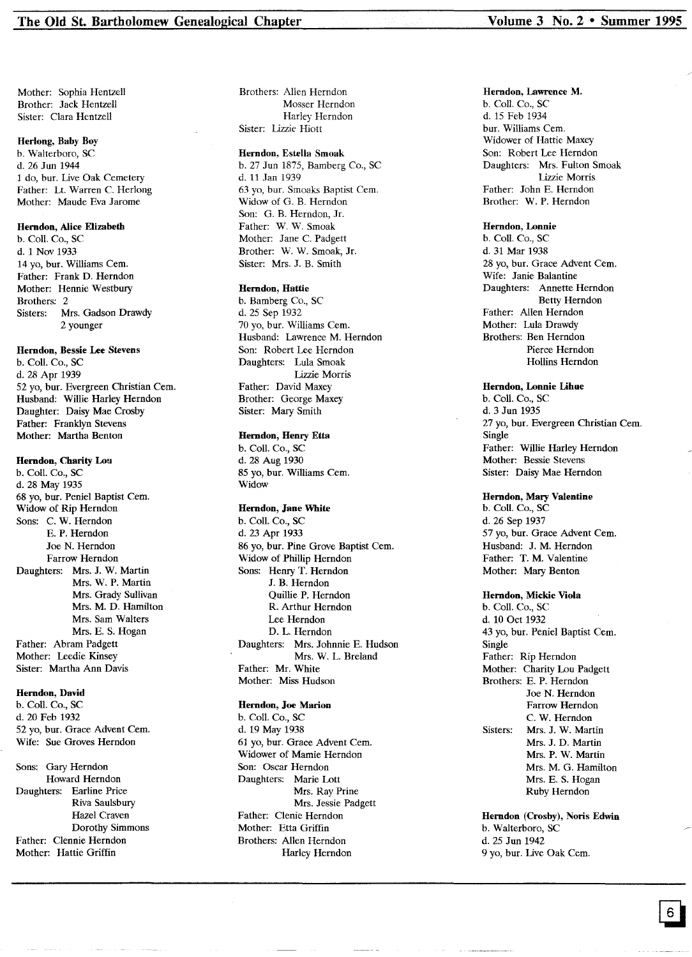Mother: Sophia Hentzell Brother: Jack Hentzell Sister: Clara Hentzell

#### Herlong, Baby Boy

b. Walterboro, SC d. 26 Jun 1944 1 do, bur. Live Oak Cemetery Father: Lt. Warren C. Herlong Mother: Maude Eva Jarome

#### Herndon, Alice Elizabeth

b. ColI. Co., SC d. 1 Nov 1933 14 yo, bur. Williams Cem. Father: Frank D. Herndon Mother: Hennie Westbury Brothers: 2 Sisters: Mrs. Gadson Drawdy 2 younger

#### Herndon, Bessie Lee Stevens

b. ColI. Co., SC d. 28 Apr 1939 52 yo, bur. Evergreen Christian Cern. Husband: Willie Harley Herndon Daughter: Daisy Mae Crosby Father: Franklyn Stevens Mother: Martha Benton

#### Herndon, Charity Lou

b. Coli. Co., SC d. 28 May 1935 68 yo, bur. Peniel Baptist Cem. Widow of Rip Herndon Sons: C. W. Herndon E. P. Herndon Joe N. Herndon Farrow Herndon Daughters: Mrs. J. W. Martin Mrs. W. P. Martin Mrs. Grady Sullivan Mrs. M. D. Hamilton Mrs. Sam Walters Mrs. E. S. Hogan Father: Abram Padgett Mother: Leedie Kinsey Sister: Martha Ann Davis

#### Herndon, David

b. Coll. Co., SC d. 20 Feb 1932 52 yo, bur. Grace Advent Cem. Wife: Sue Groves Herndon

Sons: Gary Herndon Howard Herndon Daughters: Earline Price Riva Saulsbury Hazel Craven Dorothy Simmons Father: Clennie Herndon Mother: Hattie Griffin

Brothers: Allen Herndon Mosser Herndon Harley Herndon Sister: Lizzie Hiott

#### Herndon, Estella Smoak

b. 27 Jun 1875, Bamberg Co., SC d. 11 Jan 1939 63 yo, bur. Smoaks Baptist Cem. Widow of G. B. Herndon Son: G. B. Herndon, Jr. Father: W. W. Smoak Mother: Jane C. Padgett Brother: W. W. Smoak, Jr. Sister: Mrs. J. B. Smith

#### Herndon, Hattie

b. Bamberg Co., SC d. 25 Sep 1932 70 yo, bur. Williams Cem. Husband: Lawrence M. Herndon Son: Robert Lee Herndon Daughters: Lula Smoak Lizzie Morris Father: David Maxey Brother: George Maxey Sister: Mary Smith

#### Herndon, Henry Etta

b. Coli. Co., SC d. 28 Aug 1930 85 yo, bur. Williams Cern. Widow

#### Herndon, Jane White

b. Coli. Co., SC d. 23 Apr 1933 86 yo, bur. Pine Grove Baptist Cern. Widow of Phillip Herndon Sons: Henry T. Herndon J. B. Herndon Quillie P. Herndon R. Arthur Herndon Lee Herndon D. L. Herndon Daughters: Mrs. Johnnie E. Hudson Mrs. W. L. Breland Father: Mr. White Mother: Miss Hudson

#### Herndon, Joe Marion

b. Coli. Co., SC d. 19 May 1938 61 yo, bur. Grace Advent Cern. Widower of Mamie Herndon Son: Oscar Herndon Daughters: Marie Lott Mrs. Ray Prine Mrs. Jessie Padgett Father: Clenie Herndon Mother: Etta Griffin Brothers: Allen Herndon Harley Herndon

#### Herndon, Lawrence M.

b. Coli. Co., SC d. 15 Feb 1934 bur. Williams Cern. Widower of Hattie Maxey Son: Robert Lee Herndon Daughters: Mrs. Fulton Smoak Lizzie Morris Father: John E. Herndon Brother: W. P. Herndon

#### Herndon, Lonnie

b. ColI. Co., SC d. 31 Mar 1938 28 yo, bur. Grace Advent Cem. Wife: Janie Balantine Daughters: Annette Herndon Betty Herndon Father: Allen Herndon Mother: Lula Drawdy Brothers: Ben Herndon Pierce Herndon Hollins Herndon

#### Herndon, Lonnie Lihue

b. Coli. Co., SC d. 3 Jun 1935 27 yo, bur. Evergreen Christian Cem. Single Father: Willie Harley Herndon Mother: Bessie Stevens Sister: Daisy Mae Herndon

#### Herndon, Mary Valentine

b. ColI. Co., SC d. 26 Sep 1937 57 yo, bur. Grace Advent Cem. Husband: J. M. Herndon Father: T. M. Valentine Mother: Mary Benton

#### Herndon, Mickie Viola

b. Coli. Co., SC d. 10 Oct 1932 43 yo, bur. Peniel Baptist Cem. Single Father: Rip Herndon Mother: Charity Lou Padgett Brothers: E. P. Herndon Joe N. Herndon Farrow Herndon C. W. Herndon Sisters: Mrs. J. W. Martin Mrs. J. D. Martin Mrs. P. W. Martin Mrs. M. G. Hamilton Mrs. E. S. Hogan Ruby Herndon

Herndon (Crosby), Noris Edwin b. Walterboro, SC d. 25 Jun 1942 9 yo, bur. Live Oak Cern.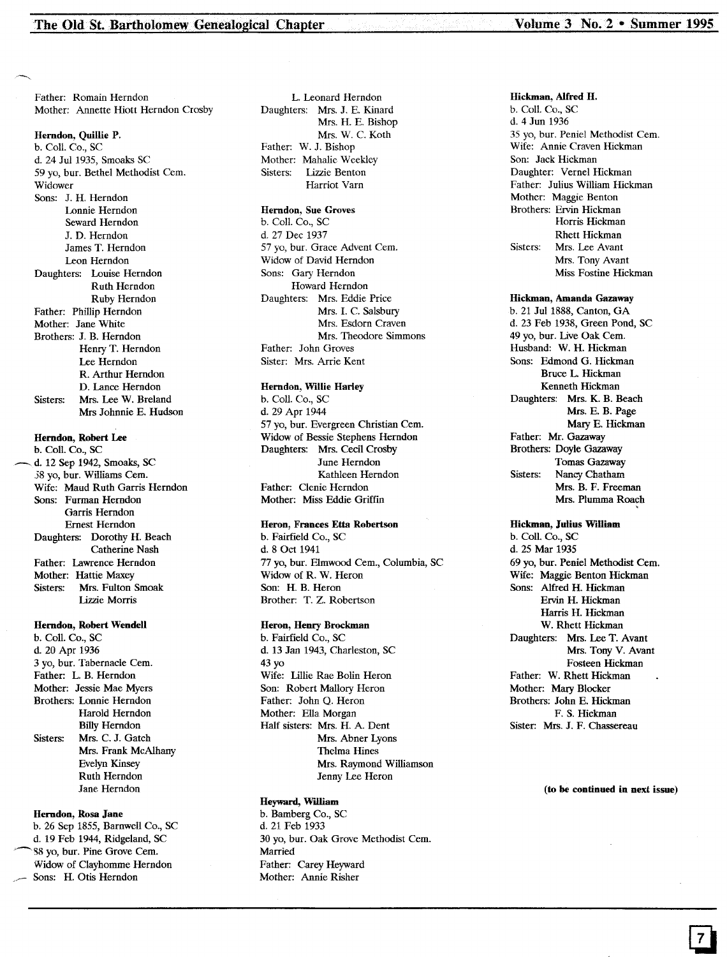Father: Romain Herndon Mother: Annette Hiott Herndon Crosby

#### Herndon, Quillie P.

b. CoiL Co., SC d. 24 Jul 1935, Smoaks SC 59 yo, bur. Bethel Methodist Cem. Widower Sons: J. H. Herndon Lonnie Herndon Seward Herndon J. D. Herndon James T. Herndon Leon Herndon Daughters: Louise Herndon Ruth Herndon Ruby Herndon Father: Phillip Herndon Mother: Jane White Brothers: J. B. Herndon Henry T. Herndon Lee Herndon R. Arthur Herndon D. Lance Herndon Sisters: Mrs. Lee W. Breland Mrs Johnnie E. Hudson

#### Herndon, Robert Lee

b. CoIL Co., SC d. 12 Sep 1942, Smoaks, SC 58 yo, bur. Williams Cem. Wife: Maud Ruth Garris Herndon Sons: Furman Herndon Garris Herndon Ernest Herndon Daughters: Dorothy H. Beach Catherine Nash Father: Lawrence Herndon Mother: Hattie Maxey<br>Sisters: Mrs. Fulton Mrs. Fulton Smoak Lizzie Morris

#### Herndon, Robert Wendell

b. Coli. Co., SC d. 20 Apr 1936 3 yo, bur. Tabernacle Cern. Father: L. B. Herndon Mother: Jessie Mae Myers Brothers: Lonnie Herndon Harold Herndon Billy Herndon Sisters: Mrs. C. J. Gatch Mrs. Frank McAlhany Evelyn Kinsey Ruth Herndon Jane Herndon

#### Herndon, Rosa Jane

b. 26 Sep 1855, Barnwell Co., SC d. 19 Feb 1944, Ridgeland, SC ~S8 yo, bur. Pine Grove Cern. Widow of Clayhornme Herndon Sons: H. Otis Herndon

L. Leonard Herndon Daughters: Mrs. J. E. Kinard Mrs. H. E. Bishop Mrs. W. C. Koth Father: W. J. Bishop Mother: Mahalie Weekley Sisters: Lizzie Benton Harriot Varn

#### Herndon, Sue Groves

b. Coll. Co., SC d. 27 Dec 1937 57 yo, bur. Grace Advent Cem. Widow of David Herndon Sons: Gary Herndon Howard Herndon Daughters: Mrs. Eddie Price Mrs. I. C. Salsbury Mrs. Esdorn Craven Mrs. Theodore Simmons Father: John Groves Sister: Mrs. Arrie Kent

#### Herndon, Willie Harley

b. Call. Co., SC d. 29 Apr 1944 57 yo, bur. Evergreen Christian Cem. Widow of Bessie Stephens Herndon Daughters: Mrs. Cecil Crosby June Herndon Kathleen Herndon Father: Clenie Herndon Mother: Miss Eddie Griffin

#### Heron, Frances Etta Robertson

b. Fairfield Co., SC d. 8 Oct 1941 77 yo, bur. Elmwood Cern., Columbia, SC Widow of R. W. Heron Son: H. B. Heron Brother: T. Z. Robertson

#### ,Heron, Henry Brockman

b. Fairfield Co., SC d. 13 Jan 1943, Charleston, SC 43 yo Wife: Lillie Rae Bolin Heron Son: Robert Mallory Heron Father: John Q. Heron Mother: Ella Morgan Half sisters: Mrs. H. A. Dent Mrs. Abner Lyons Thelma Hines Mrs. Raymond Williamson Jenny Lee Heron

#### Heyward, William

b. Bamberg Co., SC d. 21 Feb 1933 30 yo, bur. Oak Grove Methodist Cern. Married Father: Carey Heyward Mother: Annie Risher

Hickman, Alfred H. b. Coli. Co., SC d. 4 Jun 1936 35 yo, bur. Peniel Methodist Cem. Wife: Annie Craven Hickman Son: Jack Hickman Daughter: Vernel Hickman Father: Julius William Hickman Mother: Maggie Benton Brothers: Ervin Hickman Horris Hickman Rhett Hickman Sisters: Mrs. Lee Avant Mrs. Tony Avant Miss Fostine Hickman

#### Hickman, Amanda Gazaway

b. 21 Jul 1888, Canton, GA d. 23 Feb 1938, Green Pond, SC 49 yo, bur. Live Oak Cem. Husband: W. H. Hickman Sons: Edmond G. Hickman Bruce L. Hickman Kenneth Hickman Daughters: Mrs. K. B. Beach Mrs. E. B. Page Mary E. Hickman Father: Mr. Gazaway Brothers: Doyle Gazaway Tomas Gazaway Sisters: Nancy Chatham Mrs. B. F. Freeman Mrs. Plumma Roach

#### Hickman, Julius William

b. Coli. Co., SC d. 25 Mar 1935 69 yo, bur. Peniel Methodist Cern. Wife: Maggie Benton Hickman Sons: Alfred H. Hickman Ervin H. Hickman Harris H. Hickman W. Rhett Hickman Daughters: Mrs. Lee T. Avant Mrs. Tony V. Avant Fosteen Hickman Father: W. Rhett Hickman Mother: Mary Blocker Brothers: John E. Hickman F. S. Hickman Sister: Mrs. J. F. Chassereau

#### (to be continued in next issue)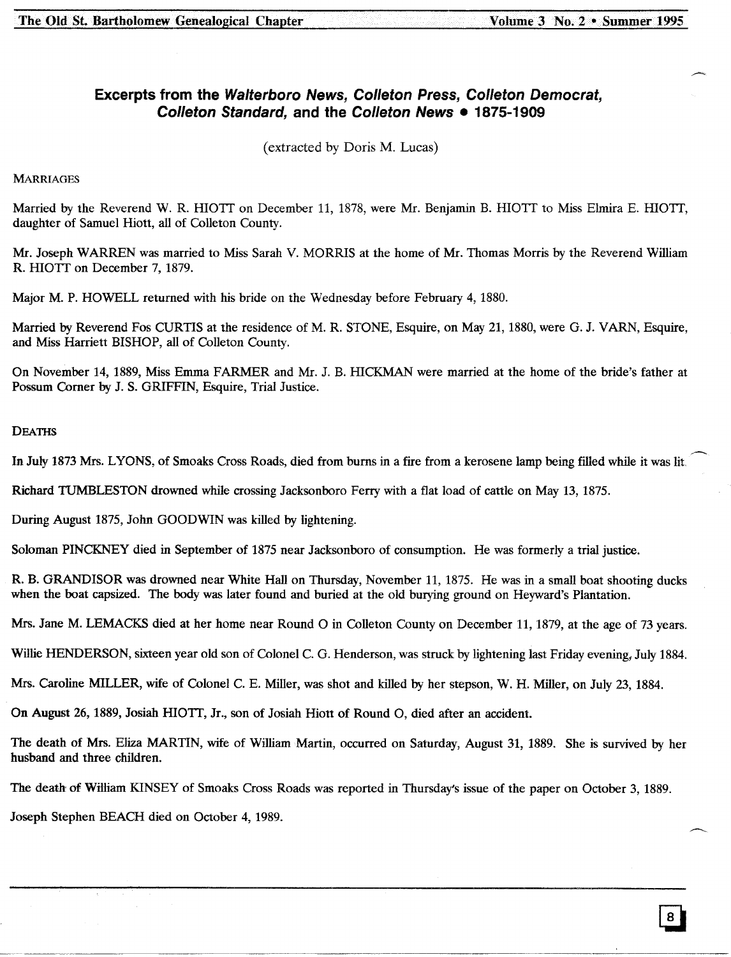### **Excerpts from the Walterboro News, Colleton Press, Colleton Democrat, Colleton Standard, and the Colleton News • 1875-1909**

(extracted by Doris M. Lucas)

#### **MARRIAGES**

Married by the Reverend W. R. HIOTT on December 11, 1878, were Mr. Benjamin B. HIOTT to Miss Elmira E. HIOTT, daughter of Samuel Hiott, all of Colleton County.

Mr. Joseph WARREN was married to Miss Sarah V. MORRIS at the home of Mr. Thomas Morris by the Reverend William R. HIOTT on December 7, 1879.

Major M. P. HOWELL returned with his bride on the Wednesday before February 4, 1880.

Married by Reverend Fos CURTIS at the residence of M. R. STONE, Esquire, on May 21, 1880, were G. J. VARN, Esquire, and Miss Harriett BISHOP, all of Colleton County.

On November 14,1889, Miss Emma FARMER and Mr. J. B. mCKMAN were married at the home of the bride's father at Possum Comer by J. S. GRIFFIN, Esquire, Trial Justice.

#### **DEATHS**

In July 1873 Mrs. LYONS, of Smoaks Cross Roads, died from bums in a fire from a kerosene lamp being filled while it was lit,

Richard TUMBLESTON drowned while crossing Jacksonboro Ferry with a flat load of cattle on May 13, 1875.

During August 1875, John GOODWIN was killed by lightening.

Soloman PINCKNEY died in September of 1875 near Jacksonboro of consumption. He was formerly a trial justice.

R. B. GRANDISOR was drowned near White Hall on Thursday, November 11, 1875. He was in a small boat shooting ducks when the boat capsized. The body was later found and buried at the old burying ground on Heyward's Plantation.

Mrs. Jane M. LEMACKS died at her home near Round 0 in Colleton County on December 11, 1879, at the age of 73 years.

Willie HENDERSON, sixteen year old son of Colonel C. G. Henderson, was struck by lightening last Friday evening, July 1884.

Mrs. Caroline MILLER, wife of Colonel C. E. Miller, was shot and killed by her stepson, W. H. Miller, on July 23, 1884.

On August 26,1889, Josiah HIOTI, Jr., son of Josiah Hiott of Round 0, died after an accident.

The death of Mrs. Eliza MARTIN, wife of William Martin, occurred on Saturday, August 31, 1889. She is survived by her husband and three children.

The death of William KINSEY of Smoaks Cross Roads was reported in Thursday's issue of the paper on October 3, 1889.

Joseph Stephen BEACH died on October 4, 1989.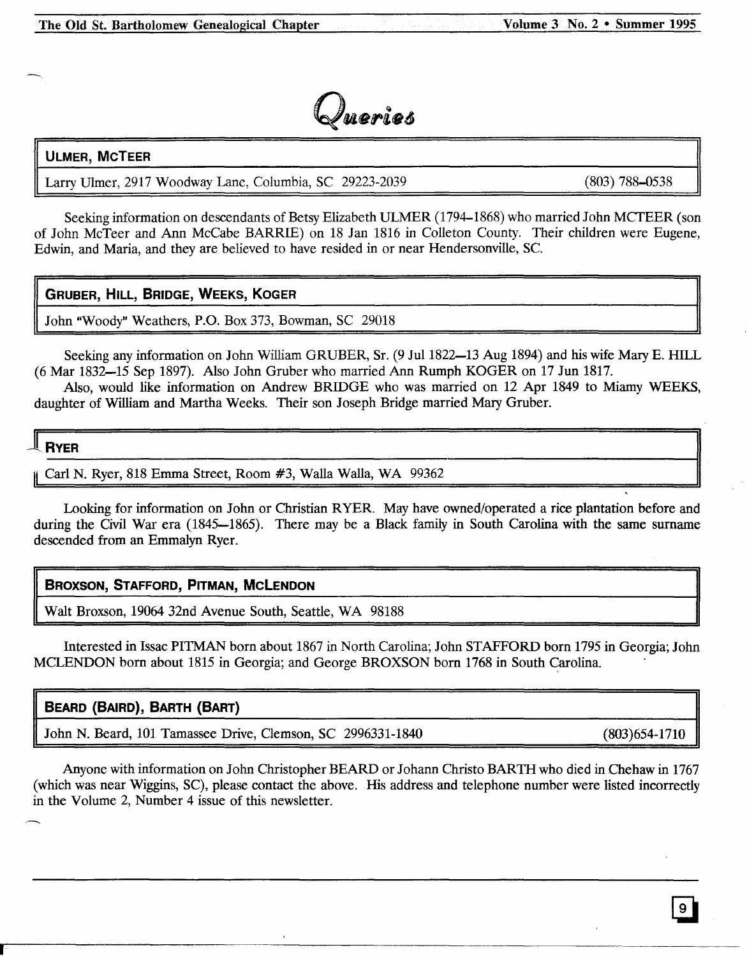

### **ULMER, McTEER**

Larry Ulmer, 2917 Woodway Lane, Columbia, SC 29223-2039

(803) 788-0538

Seeking information on descendants of Betsy Elizabeth ULMER (1794-1868) who married John MCTEER (son of John McTeer and Ann McCabe BARRIE) on 18 Jan 1816 in Colleton County. Their children were Eugene, Edwin, and Maria, and they are believed to have resided in or near Hendersonville, Sc.

### **GRUBER, HILL, BRIDGE, WEEKS, KOGER**

John "Woody" Weathers, P.O. Box 373, Bowman, SC 29018

Seeking any information on John William GRUBER, Sr. (9 Jul 1822–13 Aug 1894) and his wife Mary E. HILL (6 Mar 1832-15 Sep 1897). Also John Gruber who married Ann Rumph KOGER on 17 Jun 1817.

Also, would like information on Andrew BRIDGE who was married on 12 Apr 1849 to Miamy WEEKS, daughter of William and Martha Weeks. Their son Joseph Bridge married Mary Gruber.

## **RVER**

Carl N. Ryer, 818 Emma Street, Room #3, Walla Walla, WA 99362

Looking for information on John or Christian RYER. May have owned/operated a rice plantation before and during the Civil War era (1845-1865). There may be a Black family in South Carolina with the same surname descended from an Emmalyn Ryer.

### **BROXSON, STAFFORD, PITMAN, McLENDON**

Walt Broxson, 19064 32nd Avenue South, Seattle, WA 98188

Interested in Issac PITMAN born about 1867 in North Carolina; John STAFFORD born 1795 in Georgia; John MCLENDON born about 1815 in Georgia; and George BROXSON born 1768 in South Carolina.

### **BEARD (BAIRD), BARTH (BART)**

John N. Beard, 101 Tamassee Drive, Clemson, SC 2996331-1840 (803)654-1710

Anyone with information on John Christopher BEARD or Johann Christo BARTH who died in Chehaw in 1767 (which was near Wiggins, SC), please contact the above. His address and telephone number were listed incorrectly in the Volume 2, Number 4 issue of this newsletter.